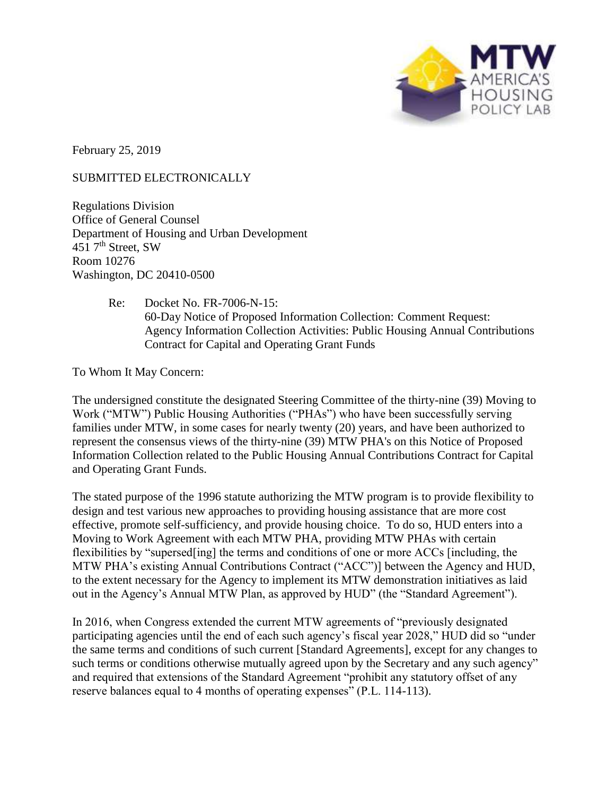

February 25, 2019

## SUBMITTED ELECTRONICALLY

Regulations Division Office of General Counsel Department of Housing and Urban Development 451  $7<sup>th</sup>$  Street, SW Room 10276 Washington, DC 20410-0500

## Re: Docket No. FR-7006-N-15: 60-Day Notice of Proposed Information Collection: Comment Request: Agency Information Collection Activities: Public Housing Annual Contributions Contract for Capital and Operating Grant Funds

To Whom It May Concern:

The undersigned constitute the designated Steering Committee of the thirty-nine (39) Moving to Work ("MTW") Public Housing Authorities ("PHAs") who have been successfully serving families under MTW, in some cases for nearly twenty (20) years, and have been authorized to represent the consensus views of the thirty-nine (39) MTW PHA's on this Notice of Proposed Information Collection related to the Public Housing Annual Contributions Contract for Capital and Operating Grant Funds.

The stated purpose of the 1996 statute authorizing the MTW program is to provide flexibility to design and test various new approaches to providing housing assistance that are more cost effective, promote self-sufficiency, and provide housing choice. To do so, HUD enters into a Moving to Work Agreement with each MTW PHA, providing MTW PHAs with certain flexibilities by "supersed[ing] the terms and conditions of one or more ACCs [including, the MTW PHA's existing Annual Contributions Contract ("ACC")] between the Agency and HUD, to the extent necessary for the Agency to implement its MTW demonstration initiatives as laid out in the Agency's Annual MTW Plan, as approved by HUD" (the "Standard Agreement").

In 2016, when Congress extended the current MTW agreements of "previously designated participating agencies until the end of each such agency's fiscal year 2028," HUD did so "under the same terms and conditions of such current [Standard Agreements], except for any changes to such terms or conditions otherwise mutually agreed upon by the Secretary and any such agency" and required that extensions of the Standard Agreement "prohibit any statutory offset of any reserve balances equal to 4 months of operating expenses" (P.L. 114-113).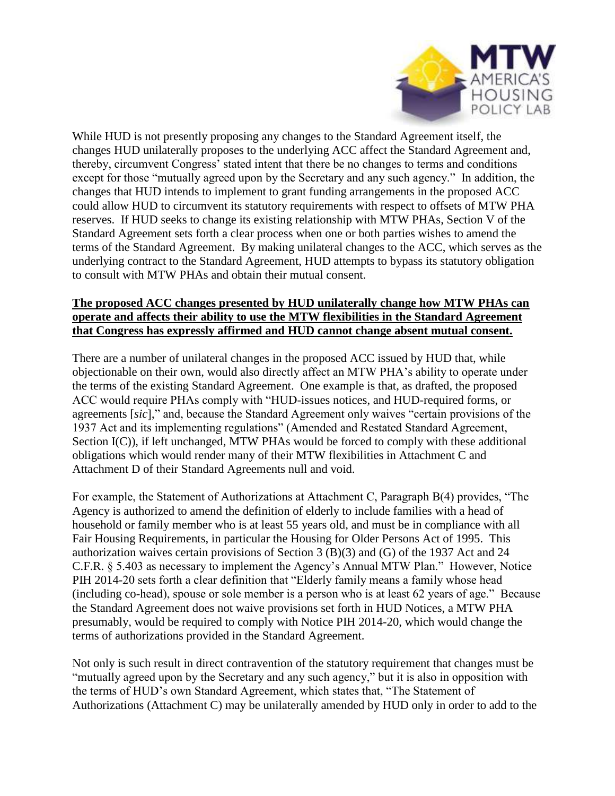

While HUD is not presently proposing any changes to the Standard Agreement itself, the changes HUD unilaterally proposes to the underlying ACC affect the Standard Agreement and, thereby, circumvent Congress' stated intent that there be no changes to terms and conditions except for those "mutually agreed upon by the Secretary and any such agency." In addition, the changes that HUD intends to implement to grant funding arrangements in the proposed ACC could allow HUD to circumvent its statutory requirements with respect to offsets of MTW PHA reserves. If HUD seeks to change its existing relationship with MTW PHAs, Section V of the Standard Agreement sets forth a clear process when one or both parties wishes to amend the terms of the Standard Agreement. By making unilateral changes to the ACC, which serves as the underlying contract to the Standard Agreement, HUD attempts to bypass its statutory obligation to consult with MTW PHAs and obtain their mutual consent.

## **The proposed ACC changes presented by HUD unilaterally change how MTW PHAs can operate and affects their ability to use the MTW flexibilities in the Standard Agreement that Congress has expressly affirmed and HUD cannot change absent mutual consent.**

There are a number of unilateral changes in the proposed ACC issued by HUD that, while objectionable on their own, would also directly affect an MTW PHA's ability to operate under the terms of the existing Standard Agreement. One example is that, as drafted, the proposed ACC would require PHAs comply with "HUD-issues notices, and HUD-required forms, or agreements [*sic*]," and, because the Standard Agreement only waives "certain provisions of the 1937 Act and its implementing regulations" (Amended and Restated Standard Agreement, Section I(C)), if left unchanged, MTW PHAs would be forced to comply with these additional obligations which would render many of their MTW flexibilities in Attachment C and Attachment D of their Standard Agreements null and void.

For example, the Statement of Authorizations at Attachment C, Paragraph B(4) provides, "The Agency is authorized to amend the definition of elderly to include families with a head of household or family member who is at least 55 years old, and must be in compliance with all Fair Housing Requirements, in particular the Housing for Older Persons Act of 1995. This authorization waives certain provisions of Section 3 (B)(3) and (G) of the 1937 Act and 24 C.F.R. § 5.403 as necessary to implement the Agency's Annual MTW Plan." However, Notice PIH 2014-20 sets forth a clear definition that "Elderly family means a family whose head (including co-head), spouse or sole member is a person who is at least 62 years of age." Because the Standard Agreement does not waive provisions set forth in HUD Notices, a MTW PHA presumably, would be required to comply with Notice PIH 2014-20, which would change the terms of authorizations provided in the Standard Agreement.

Not only is such result in direct contravention of the statutory requirement that changes must be "mutually agreed upon by the Secretary and any such agency," but it is also in opposition with the terms of HUD's own Standard Agreement, which states that, "The Statement of Authorizations (Attachment C) may be unilaterally amended by HUD only in order to add to the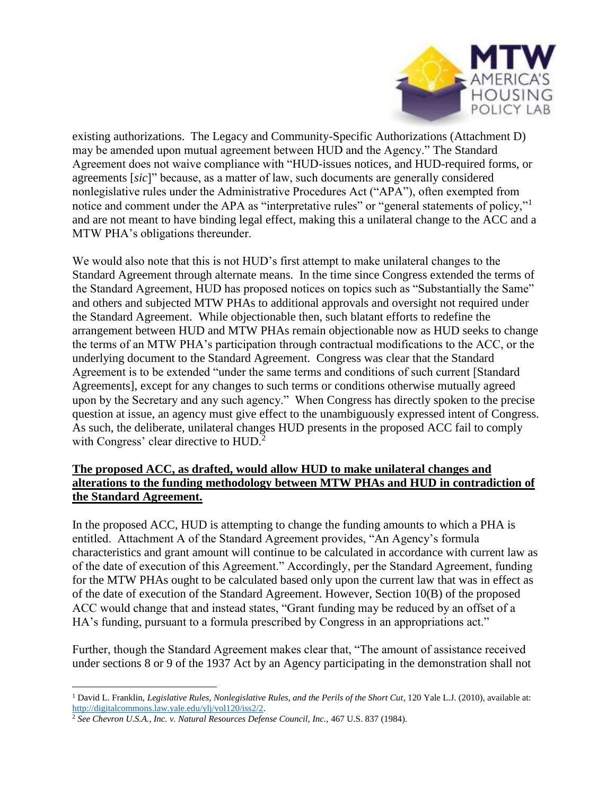

existing authorizations. The Legacy and Community-Specific Authorizations (Attachment D) may be amended upon mutual agreement between HUD and the Agency." The Standard Agreement does not waive compliance with "HUD-issues notices, and HUD-required forms, or agreements [*sic*]" because, as a matter of law, such documents are generally considered nonlegislative rules under the Administrative Procedures Act ("APA"), often exempted from notice and comment under the APA as "interpretative rules" or "general statements of policy,"<sup>1</sup> and are not meant to have binding legal effect, making this a unilateral change to the ACC and a MTW PHA's obligations thereunder.

We would also note that this is not HUD's first attempt to make unilateral changes to the Standard Agreement through alternate means. In the time since Congress extended the terms of the Standard Agreement, HUD has proposed notices on topics such as "Substantially the Same" and others and subjected MTW PHAs to additional approvals and oversight not required under the Standard Agreement. While objectionable then, such blatant efforts to redefine the arrangement between HUD and MTW PHAs remain objectionable now as HUD seeks to change the terms of an MTW PHA's participation through contractual modifications to the ACC, or the underlying document to the Standard Agreement. Congress was clear that the Standard Agreement is to be extended "under the same terms and conditions of such current [Standard Agreements], except for any changes to such terms or conditions otherwise mutually agreed upon by the Secretary and any such agency." When Congress has directly spoken to the precise question at issue, an agency must give effect to the unambiguously expressed intent of Congress. As such, the deliberate, unilateral changes HUD presents in the proposed ACC fail to comply with Congress' clear directive to HUD.<sup>2</sup>

# **The proposed ACC, as drafted, would allow HUD to make unilateral changes and alterations to the funding methodology between MTW PHAs and HUD in contradiction of the Standard Agreement.**

In the proposed ACC, HUD is attempting to change the funding amounts to which a PHA is entitled. Attachment A of the Standard Agreement provides, "An Agency's formula characteristics and grant amount will continue to be calculated in accordance with current law as of the date of execution of this Agreement." Accordingly, per the Standard Agreement, funding for the MTW PHAs ought to be calculated based only upon the current law that was in effect as of the date of execution of the Standard Agreement. However, Section 10(B) of the proposed ACC would change that and instead states, "Grant funding may be reduced by an offset of a HA's funding, pursuant to a formula prescribed by Congress in an appropriations act."

Further, though the Standard Agreement makes clear that, "The amount of assistance received under sections 8 or 9 of the 1937 Act by an Agency participating in the demonstration shall not

<sup>1</sup> David L. Franklin, *Legislative Rules, Nonlegislative Rules, and the Perils of the Short Cut*, 120 Yale L.J. (2010), available at: [http://digitalcommons.law.yale.edu/ylj/vol120/iss2/2.](http://digitalcommons.law.yale.edu/ylj/vol120/iss2/2)

<sup>2</sup> *See Chevron U.S.A., Inc. v. Natural Resources Defense Council, Inc.,* 467 U.S. 837 (1984).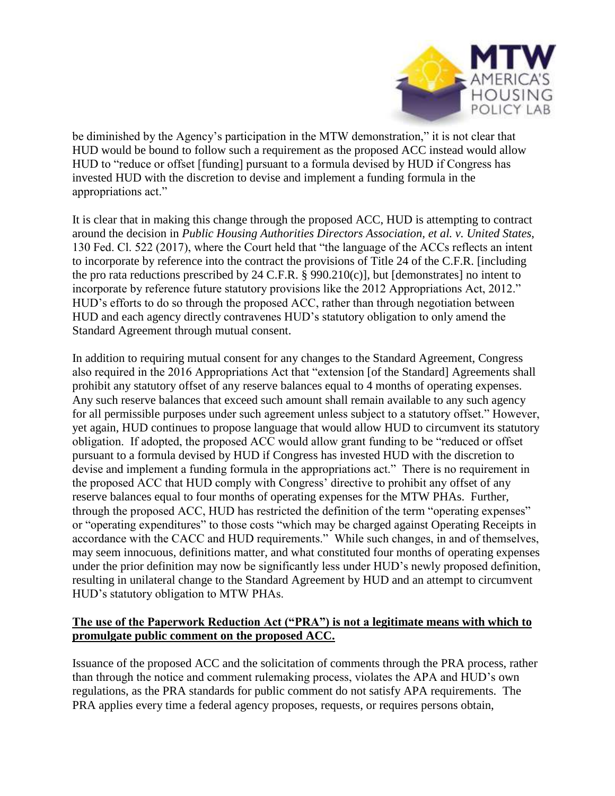

be diminished by the Agency's participation in the MTW demonstration," it is not clear that HUD would be bound to follow such a requirement as the proposed ACC instead would allow HUD to "reduce or offset [funding] pursuant to a formula devised by HUD if Congress has invested HUD with the discretion to devise and implement a funding formula in the appropriations act."

It is clear that in making this change through the proposed ACC, HUD is attempting to contract around the decision in *Public Housing Authorities Directors Association, et al. v. United States*, 130 Fed. Cl. 522 (2017), where the Court held that "the language of the ACCs reflects an intent to incorporate by reference into the contract the provisions of Title 24 of the C.F.R. [including the pro rata reductions prescribed by 24 C.F.R. § 990.210(c)], but [demonstrates] no intent to incorporate by reference future statutory provisions like the 2012 Appropriations Act, 2012." HUD's efforts to do so through the proposed ACC, rather than through negotiation between HUD and each agency directly contravenes HUD's statutory obligation to only amend the Standard Agreement through mutual consent.

In addition to requiring mutual consent for any changes to the Standard Agreement, Congress also required in the 2016 Appropriations Act that "extension [of the Standard] Agreements shall prohibit any statutory offset of any reserve balances equal to 4 months of operating expenses. Any such reserve balances that exceed such amount shall remain available to any such agency for all permissible purposes under such agreement unless subject to a statutory offset." However, yet again, HUD continues to propose language that would allow HUD to circumvent its statutory obligation. If adopted, the proposed ACC would allow grant funding to be "reduced or offset pursuant to a formula devised by HUD if Congress has invested HUD with the discretion to devise and implement a funding formula in the appropriations act." There is no requirement in the proposed ACC that HUD comply with Congress' directive to prohibit any offset of any reserve balances equal to four months of operating expenses for the MTW PHAs. Further, through the proposed ACC, HUD has restricted the definition of the term "operating expenses" or "operating expenditures" to those costs "which may be charged against Operating Receipts in accordance with the CACC and HUD requirements." While such changes, in and of themselves, may seem innocuous, definitions matter, and what constituted four months of operating expenses under the prior definition may now be significantly less under HUD's newly proposed definition, resulting in unilateral change to the Standard Agreement by HUD and an attempt to circumvent HUD's statutory obligation to MTW PHAs.

## **The use of the Paperwork Reduction Act ("PRA") is not a legitimate means with which to promulgate public comment on the proposed ACC.**

Issuance of the proposed ACC and the solicitation of comments through the PRA process, rather than through the notice and comment rulemaking process, violates the APA and HUD's own regulations, as the PRA standards for public comment do not satisfy APA requirements. The PRA applies every time a federal agency proposes, requests, or requires persons obtain,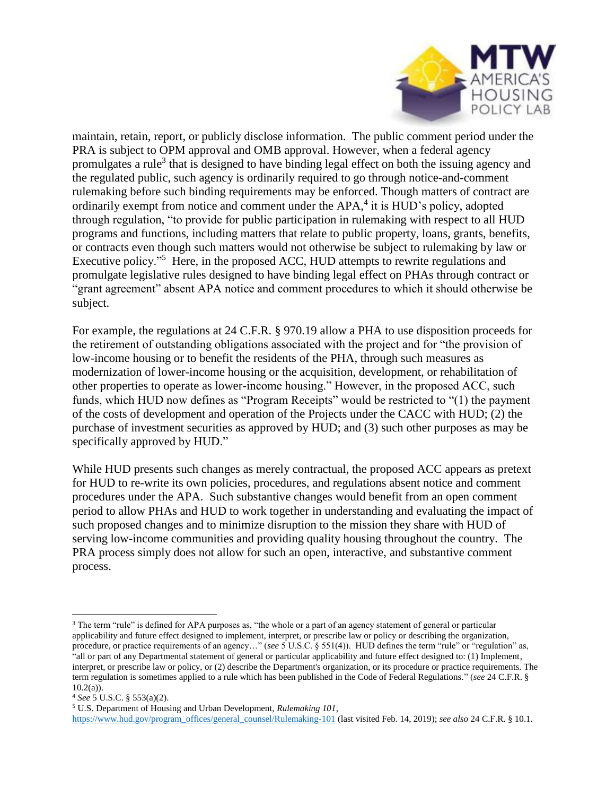

maintain, retain, report, or publicly disclose information. The public comment period under the PRA is subject to OPM approval and OMB approval. However, when a federal agency promulgates a rule<sup>3</sup> that is designed to have binding legal effect on both the issuing agency and the regulated public, such agency is ordinarily required to go through notice-and-comment rulemaking before such binding requirements may be enforced. Though matters of contract are ordinarily exempt from notice and comment under the APA,<sup>4</sup> it is HUD's policy, adopted through regulation, "to provide for public participation in rulemaking with respect to all HUD programs and functions, including matters that relate to public property, loans, grants, benefits, or contracts even though such matters would not otherwise be subject to rulemaking by law or Executive policy."<sup>5</sup> Here, in the proposed ACC, HUD attempts to rewrite regulations and promulgate legislative rules designed to have binding legal effect on PHAs through contract or "grant agreement" absent APA notice and comment procedures to which it should otherwise be subject.

For example, the regulations at 24 C.F.R. § 970.19 allow a PHA to use disposition proceeds for the retirement of outstanding obligations associated with the project and for "the provision of low-income housing or to benefit the residents of the PHA, through such measures as modernization of lower-income housing or the acquisition, development, or rehabilitation of other properties to operate as lower-income housing." However, in the proposed ACC, such funds, which HUD now defines as "Program Receipts" would be restricted to "(1) the payment of the costs of development and operation of the Projects under the CACC with HUD; (2) the purchase of investment securities as approved by HUD; and (3) such other purposes as may be specifically approved by HUD."

While HUD presents such changes as merely contractual, the proposed ACC appears as pretext for HUD to re-write its own policies, procedures, and regulations absent notice and comment procedures under the APA. Such substantive changes would benefit from an open comment period to allow PHAs and HUD to work together in understanding and evaluating the impact of such proposed changes and to minimize disruption to the mission they share with HUD of serving low-income communities and providing quality housing throughout the country. The PRA process simply does not allow for such an open, interactive, and substantive comment process.

<sup>&</sup>lt;sup>3</sup> The term "rule" is defined for APA purposes as, "the whole or a part of an agency statement of general or particular applicability and future effect designed to implement, interpret, or prescribe law or policy or describing the organization, procedure, or practice requirements of an agency…" (*see* 5 U.S.C. § 551(4)). HUD defines the term "rule" or "regulation" as, "all or part of any Departmental statement of general or particular applicability and future effect designed to: (1) Implement, interpret, or prescribe law or policy, or (2) describe the Department's organization, or its procedure or practice requirements. The term regulation is sometimes applied to a rule which has been published in the Code of Federal Regulations." (*see* 24 C.F.R. §  $10.2(a)$ ).

<sup>4</sup> *See* 5 U.S.C. § 553(a)(2).

<sup>5</sup> U.S. Department of Housing and Urban Development, *Rulemaking 101*,

[https://www.hud.gov/program\\_offices/general\\_counsel/Rulemaking-101](https://www.hud.gov/program_offices/general_counsel/Rulemaking-101) (last visited Feb. 14, 2019); *see also* 24 C.F.R. § 10.1.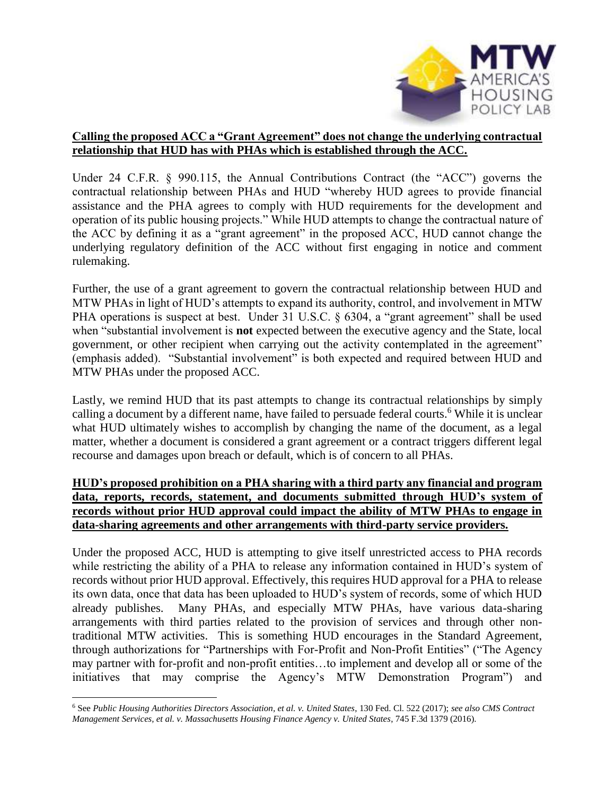

## **Calling the proposed ACC a "Grant Agreement" does not change the underlying contractual relationship that HUD has with PHAs which is established through the ACC.**

Under 24 C.F.R. § 990.115, the Annual Contributions Contract (the "ACC") governs the contractual relationship between PHAs and HUD "whereby HUD agrees to provide financial assistance and the PHA agrees to comply with HUD requirements for the development and operation of its public housing projects." While HUD attempts to change the contractual nature of the ACC by defining it as a "grant agreement" in the proposed ACC, HUD cannot change the underlying regulatory definition of the ACC without first engaging in notice and comment rulemaking.

Further, the use of a grant agreement to govern the contractual relationship between HUD and MTW PHAs in light of HUD's attempts to expand its authority, control, and involvement in MTW PHA operations is suspect at best. Under 31 U.S.C. § 6304, a "grant agreement" shall be used when "substantial involvement is **not** expected between the executive agency and the State, local government, or other recipient when carrying out the activity contemplated in the agreement" (emphasis added). "Substantial involvement" is both expected and required between HUD and MTW PHAs under the proposed ACC.

Lastly, we remind HUD that its past attempts to change its contractual relationships by simply calling a document by a different name, have failed to persuade federal courts.<sup>6</sup> While it is unclear what HUD ultimately wishes to accomplish by changing the name of the document, as a legal matter, whether a document is considered a grant agreement or a contract triggers different legal recourse and damages upon breach or default, which is of concern to all PHAs.

## **HUD's proposed prohibition on a PHA sharing with a third party any financial and program data, reports, records, statement, and documents submitted through HUD's system of records without prior HUD approval could impact the ability of MTW PHAs to engage in data-sharing agreements and other arrangements with third-party service providers.**

Under the proposed ACC, HUD is attempting to give itself unrestricted access to PHA records while restricting the ability of a PHA to release any information contained in HUD's system of records without prior HUD approval. Effectively, this requires HUD approval for a PHA to release its own data, once that data has been uploaded to HUD's system of records, some of which HUD already publishes. Many PHAs, and especially MTW PHAs, have various data-sharing arrangements with third parties related to the provision of services and through other nontraditional MTW activities. This is something HUD encourages in the Standard Agreement, through authorizations for "Partnerships with For-Profit and Non-Profit Entities" ("The Agency may partner with for-profit and non-profit entities…to implement and develop all or some of the initiatives that may comprise the Agency's MTW Demonstration Program") and

<sup>6</sup> See *Public Housing Authorities Directors Association, et al. v. United States*, 130 Fed. Cl. 522 (2017); *see also CMS Contract Management Services, et al. v. Massachusetts Housing Finance Agency v. United States*, 745 F.3d 1379 (2016).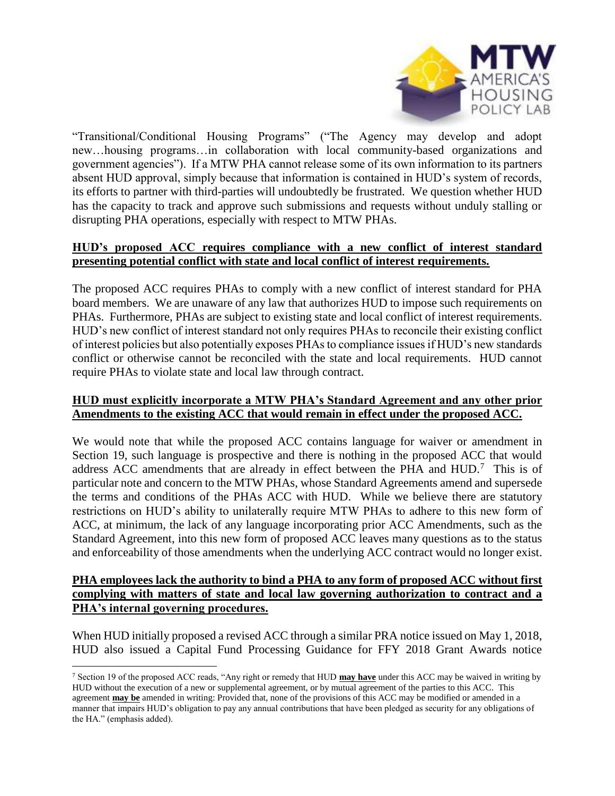

"Transitional/Conditional Housing Programs" ("The Agency may develop and adopt new…housing programs…in collaboration with local community-based organizations and government agencies"). If a MTW PHA cannot release some of its own information to its partners absent HUD approval, simply because that information is contained in HUD's system of records, its efforts to partner with third-parties will undoubtedly be frustrated. We question whether HUD has the capacity to track and approve such submissions and requests without unduly stalling or disrupting PHA operations, especially with respect to MTW PHAs.

## **HUD's proposed ACC requires compliance with a new conflict of interest standard presenting potential conflict with state and local conflict of interest requirements.**

The proposed ACC requires PHAs to comply with a new conflict of interest standard for PHA board members. We are unaware of any law that authorizes HUD to impose such requirements on PHAs. Furthermore, PHAs are subject to existing state and local conflict of interest requirements. HUD's new conflict of interest standard not only requires PHAs to reconcile their existing conflict of interest policies but also potentially exposes PHAs to compliance issues if HUD's new standards conflict or otherwise cannot be reconciled with the state and local requirements. HUD cannot require PHAs to violate state and local law through contract.

#### **HUD must explicitly incorporate a MTW PHA's Standard Agreement and any other prior Amendments to the existing ACC that would remain in effect under the proposed ACC.**

We would note that while the proposed ACC contains language for waiver or amendment in Section 19, such language is prospective and there is nothing in the proposed ACC that would address ACC amendments that are already in effect between the PHA and  $HUD$ .<sup>7</sup> This is of particular note and concern to the MTW PHAs, whose Standard Agreements amend and supersede the terms and conditions of the PHAs ACC with HUD. While we believe there are statutory restrictions on HUD's ability to unilaterally require MTW PHAs to adhere to this new form of ACC, at minimum, the lack of any language incorporating prior ACC Amendments, such as the Standard Agreement, into this new form of proposed ACC leaves many questions as to the status and enforceability of those amendments when the underlying ACC contract would no longer exist.

#### **PHA employees lack the authority to bind a PHA to any form of proposed ACC without first complying with matters of state and local law governing authorization to contract and a PHA's internal governing procedures.**

When HUD initially proposed a revised ACC through a similar PRA notice issued on May 1, 2018, HUD also issued a Capital Fund Processing Guidance for FFY 2018 Grant Awards notice

<sup>7</sup> Section 19 of the proposed ACC reads, "Any right or remedy that HUD **may have** under this ACC may be waived in writing by HUD without the execution of a new or supplemental agreement, or by mutual agreement of the parties to this ACC. This agreement **may be** amended in writing: Provided that, none of the provisions of this ACC may be modified or amended in a manner that impairs HUD's obligation to pay any annual contributions that have been pledged as security for any obligations of the HA." (emphasis added).